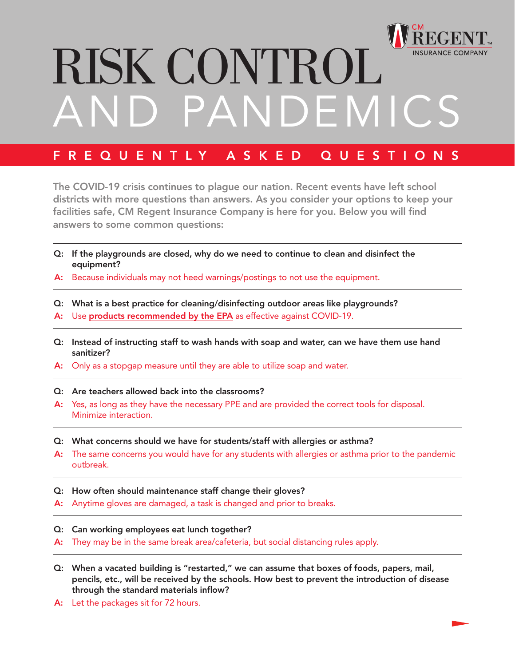

## RISK CONTROL PANDEMIC

## FREQUENTLY ASKED QUESTIONS

The COVID-19 crisis continues to plague our nation. Recent events have left school districts with more questions than answers. As you consider your options to keep your facilities safe, CM Regent Insurance Company is here for you. Below you will find answers to some common questions:

- Q: If the playgrounds are closed, why do we need to continue to clean and disinfect the equipment?
- A: Because individuals may not heed warnings/postings to not use the equipment.
- Q: What is a best practice for cleaning/disinfecting outdoor areas like playgrounds?
- A: Use [products recommended by the EPA](https://www.epa.gov/pesticide-registration/list-n-disinfectants-use-against-sars-cov-2) as effective against COVID-19.
- Q: Instead of instructing staff to wash hands with soap and water, can we have them use hand sanitizer?
- A: Only as a stopgap measure until they are able to utilize soap and water.
- Q: Are teachers allowed back into the classrooms?
- A: Yes, as long as they have the necessary PPE and are provided the correct tools for disposal. Minimize interaction.
- Q: What concerns should we have for students/staff with allergies or asthma?
- A: The same concerns you would have for any students with allergies or asthma prior to the pandemic outbreak.
- Q: How often should maintenance staff change their gloves?
- A: Anytime gloves are damaged, a task is changed and prior to breaks.
- Q: Can working employees eat lunch together?
- A: They may be in the same break area/cafeteria, but social distancing rules apply.
- Q: When a vacated building is "restarted," we can assume that boxes of foods, papers, mail, pencils, etc., will be received by the schools. How best to prevent the introduction of disease through the standard materials inflow?
- A: Let the packages sit for 72 hours.